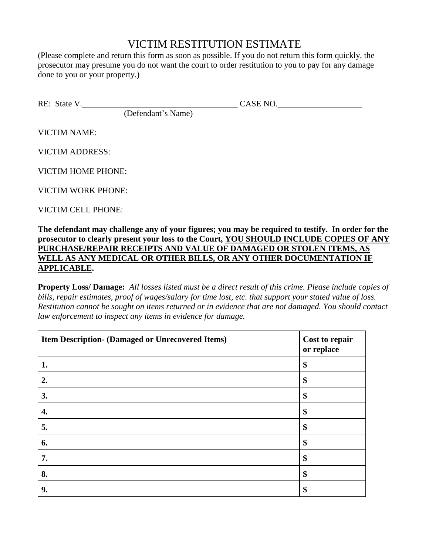## VICTIM RESTITUTION ESTIMATE

(Please complete and return this form as soon as possible. If you do not return this form quickly, the prosecutor may presume you do not want the court to order restitution to you to pay for any damage done to you or your property.)

RE: State V.\_\_\_\_\_\_\_\_\_\_\_\_\_\_\_\_\_\_\_\_\_\_\_\_\_\_\_\_\_\_\_\_\_\_\_\_\_ CASE NO.\_\_\_\_\_\_\_\_\_\_\_\_\_\_\_\_\_\_\_\_

(Defendant's Name)

VICTIM NAME:

VICTIM ADDRESS:

VICTIM HOME PHONE:

VICTIM WORK PHONE:

VICTIM CELL PHONE:

**The defendant may challenge any of your figures; you may be required to testify. In order for the prosecutor to clearly present your loss to the Court, YOU SHOULD INCLUDE COPIES OF ANY PURCHASE/REPAIR RECEIPTS AND VALUE OF DAMAGED OR STOLEN ITEMS, AS WELL AS ANY MEDICAL OR OTHER BILLS, OR ANY OTHER DOCUMENTATION IF APPLICABLE.**

**Property Loss/ Damage:** *All losses listed must be a direct result of this crime. Please include copies of bills, repair estimates, proof of wages/salary for time lost, etc. that support your stated value of loss. Restitution cannot be sought on items returned or in evidence that are not damaged. You should contact law enforcement to inspect any items in evidence for damage.* 

| Item Description- (Damaged or Unrecovered Items) | Cost to repair<br>or replace |
|--------------------------------------------------|------------------------------|
| 1.                                               | \$                           |
| 2.                                               | \$                           |
| 3.                                               | \$                           |
| 4.                                               | \$                           |
| 5.                                               | \$                           |
| 6.                                               | \$                           |
| 7.                                               | \$                           |
| 8.                                               | \$                           |
| 9.                                               | \$                           |